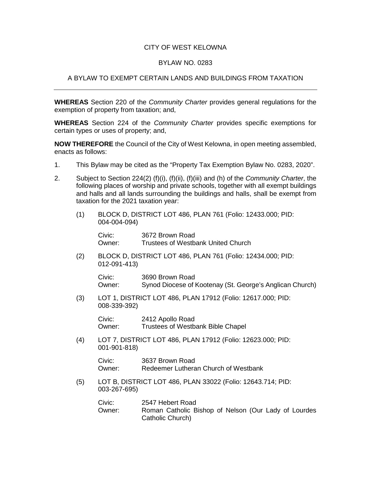## CITY OF WEST KELOWNA

## BYLAW NO. 0283

## A BYLAW TO EXEMPT CERTAIN LANDS AND BUILDINGS FROM TAXATION

**WHEREAS** Section 220 of the *Community Charter* provides general regulations for the exemption of property from taxation; and,

**WHEREAS** Section 224 of the *Community Charter* provides specific exemptions for certain types or uses of property; and,

**NOW THEREFORE** the Council of the City of West Kelowna, in open meeting assembled, enacts as follows:

- 1. This Bylaw may be cited as the "Property Tax Exemption Bylaw No. 0283, 2020".
- 2. Subject to Section 224(2) (f)(i), (f)(ii), (f)(iii) and (h) of the *Community Charter*, the following places of worship and private schools, together with all exempt buildings and halls and all lands surrounding the buildings and halls, shall be exempt from taxation for the 2021 taxation year:
	- (1) BLOCK D, DISTRICT LOT 486, PLAN 761 (Folio: 12433.000; PID: 004-004-094)

Civic: 3672 Brown Road<br>Owner: Trustees of Westba Trustees of Westbank United Church

(2) BLOCK D, DISTRICT LOT 486, PLAN 761 (Folio: 12434.000; PID: 012-091-413)

Civic: 3690 Brown Road Owner: Synod Diocese of Kootenay (St. George's Anglican Church)

(3) LOT 1, DISTRICT LOT 486, PLAN 17912 (Folio: 12617.000; PID: 008-339-392)

> Civic: 2412 Apollo Road Owner: Trustees of Westbank Bible Chapel

(4) LOT 7, DISTRICT LOT 486, PLAN 17912 (Folio: 12623.000; PID: 001-901-818)

> Civic: 3637 Brown Road Owner: Redeemer Lutheran Church of Westbank

(5) LOT B, DISTRICT LOT 486, PLAN 33022 (Folio: 12643.714; PID: 003-267-695)

| Civic: | 2547 Hebert Road                                                         |
|--------|--------------------------------------------------------------------------|
| Owner: | Roman Catholic Bishop of Nelson (Our Lady of Lourdes<br>Catholic Church) |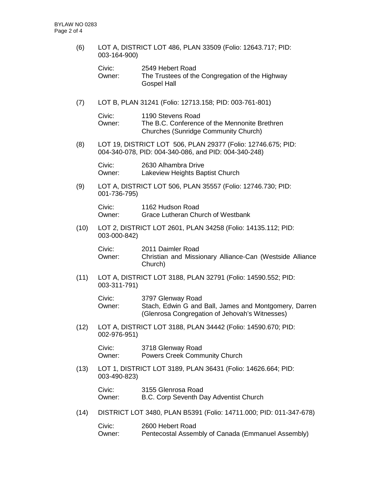(6) LOT A, DISTRICT LOT 486, PLAN 33509 (Folio: 12643.717; PID: 003-164-900)

| Civic: | 2549 Hebert Road                                |
|--------|-------------------------------------------------|
| Owner: | The Trustees of the Congregation of the Highway |
|        | <b>Gospel Hall</b>                              |

(7) LOT B, PLAN 31241 (Folio: 12713.158; PID: 003-761-801)

Civic: 1190 Stevens Road Owner: The B.C. Conference of the Mennonite Brethren Churches (Sunridge Community Church)

(8) LOT 19, DISTRICT LOT 506, PLAN 29377 (Folio: 12746.675; PID: 004-340-078, PID: 004-340-086, and PID: 004-340-248)

Civic: 2630 Alhambra Drive Owner: Lakeview Heights Baptist Church

(9) LOT A, DISTRICT LOT 506, PLAN 35557 (Folio: 12746.730; PID: 001-736-795)

> Civic: 1162 Hudson Road Owner: Grace Lutheran Church of Westbank

(10) LOT 2, DISTRICT LOT 2601, PLAN 34258 (Folio: 14135.112; PID: 003-000-842)

Civic: 2011 Daimler Road Owner: Christian and Missionary Alliance-Can (Westside Alliance Church)

(11) LOT A, DISTRICT LOT 3188, PLAN 32791 (Folio: 14590.552; PID: 003-311-791)

> Civic: 3797 Glenway Road Owner: Stach, Edwin G and Ball, James and Montgomery, Darren (Glenrosa Congregation of Jehovah's Witnesses)

(12) LOT A, DISTRICT LOT 3188, PLAN 34442 (Folio: 14590.670; PID: 002-976-951)

Civic: 3718 Glenway Road Owner: Powers Creek Community Church

(13) LOT 1, DISTRICT LOT 3189, PLAN 36431 (Folio: 14626.664; PID: 003-490-823)

Civic: 3155 Glenrosa Road Owner: B.C. Corp Seventh Day Adventist Church

(14) DISTRICT LOT 3480, PLAN B5391 (Folio: 14711.000; PID: 011-347-678)

Civic: 2600 Hebert Road Owner: Pentecostal Assembly of Canada (Emmanuel Assembly)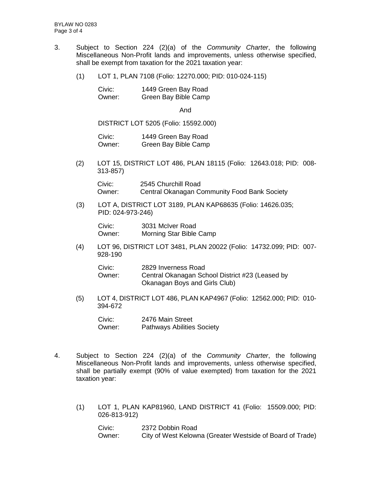- 3. Subject to Section 224 (2)(a) of the *Community Charter*, the following Miscellaneous Non-Profit lands and improvements, unless otherwise specified, shall be exempt from taxation for the 2021 taxation year:
	- (1) LOT 1, PLAN 7108 (Folio: 12270.000; PID: 010-024-115)

| Civic: | 1449 Green Bay Road  |
|--------|----------------------|
| Owner: | Green Bay Bible Camp |

And

DISTRICT LOT 5205 (Folio: 15592.000)

Civic: 1449 Green Bay Road Owner: Green Bay Bible Camp

(2) LOT 15, DISTRICT LOT 486, PLAN 18115 (Folio: 12643.018; PID: 008- 313-857)

Civic: 2545 Churchill Road Owner: Central Okanagan Community Food Bank Society

(3) LOT A, DISTRICT LOT 3189, PLAN KAP68635 (Folio: 14626.035; PID: 024-973-246)

Civic: 3031 McIver Road Owner: Morning Star Bible Camp

(4) LOT 96, DISTRICT LOT 3481, PLAN 20022 (Folio: 14732.099; PID: 007- 928-190

| Civic: | 2829 Inverness Road                             |
|--------|-------------------------------------------------|
| Owner: | Central Okanagan School District #23 (Leased by |
|        | Okanagan Boys and Girls Club)                   |

(5) LOT 4, DISTRICT LOT 486, PLAN KAP4967 (Folio: 12562.000; PID: 010- 394-672

Civic: 2476 Main Street Owner: Pathways Abilities Society

- 4. Subject to Section 224 (2)(a) of the *Community Charter*, the following Miscellaneous Non-Profit lands and improvements, unless otherwise specified, shall be partially exempt (90% of value exempted) from taxation for the 2021 taxation year:
	- (1) LOT 1, PLAN KAP81960, LAND DISTRICT 41 (Folio: 15509.000; PID: 026-813-912)

Civic: 2372 Dobbin Road Owner: City of West Kelowna (Greater Westside of Board of Trade)